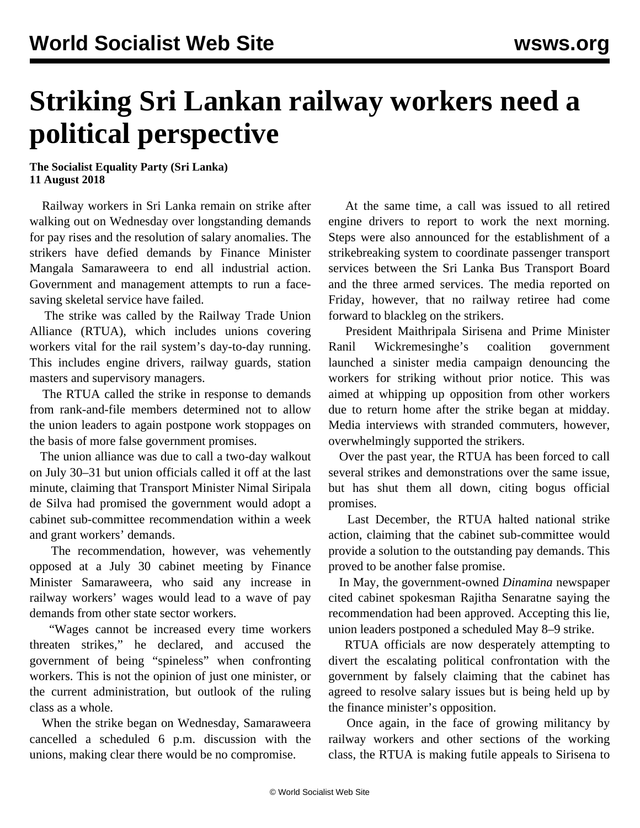## **Striking Sri Lankan railway workers need a political perspective**

## **The Socialist Equality Party (Sri Lanka) 11 August 2018**

 Railway workers in Sri Lanka remain on strike after walking out on Wednesday over longstanding demands for pay rises and the resolution of salary anomalies. The strikers have defied demands by Finance Minister Mangala Samaraweera to end all industrial action. Government and management attempts to run a facesaving skeletal service have failed.

 The strike was called by the Railway Trade Union Alliance (RTUA), which includes unions covering workers vital for the rail system's day-to-day running. This includes engine drivers, railway guards, station masters and supervisory managers.

 The RTUA called the strike in response to demands from rank-and-file members determined not to allow the union leaders to again postpone work stoppages on the basis of more false government promises.

 The union alliance was due to call a two-day walkout on July 30–31 but union officials called it off at the last minute, claiming that Transport Minister Nimal Siripala de Silva had promised the government would adopt a cabinet sub-committee recommendation within a week and grant workers' demands.

 The recommendation, however, was vehemently opposed at a July 30 cabinet meeting by Finance Minister Samaraweera, who said any increase in railway workers' wages would lead to a wave of pay demands from other state sector workers.

 "Wages cannot be increased every time workers threaten strikes," he declared, and accused the government of being "spineless" when confronting workers. This is not the opinion of just one minister, or the current administration, but outlook of the ruling class as a whole.

 When the strike began on Wednesday, Samaraweera cancelled a scheduled 6 p.m. discussion with the unions, making clear there would be no compromise.

 At the same time, a call was issued to all retired engine drivers to report to work the next morning. Steps were also announced for the establishment of a strikebreaking system to coordinate passenger transport services between the Sri Lanka Bus Transport Board and the three armed services. The media reported on Friday, however, that no railway retiree had come forward to blackleg on the strikers.

 President Maithripala Sirisena and Prime Minister Ranil Wickremesinghe's coalition government launched a sinister media campaign denouncing the workers for striking without prior notice. This was aimed at whipping up opposition from other workers due to return home after the strike began at midday. Media interviews with stranded commuters, however, overwhelmingly supported the strikers.

 Over the past year, the RTUA has been forced to call several strikes and demonstrations over the same issue, but has shut them all down, citing bogus official promises.

 Last December, the RTUA halted [national strike](/en/articles/2017/12/14/sril-d14.html) [action,](/en/articles/2017/12/14/sril-d14.html) claiming that the cabinet sub-committee would provide a solution to the outstanding pay demands. This proved to be another false promise.

 In May, the government-owned *Dinamina* newspaper cited cabinet spokesman Rajitha Senaratne saying the recommendation had been approved. Accepting this lie, union leaders postponed a scheduled May 8–9 strike.

 RTUA officials are now desperately attempting to divert the escalating political confrontation with the government by falsely claiming that the cabinet has agreed to resolve salary issues but is being held up by the finance minister's opposition.

 Once again, in the face of growing militancy by railway workers and other sections of the working class, the RTUA is making futile appeals to Sirisena to